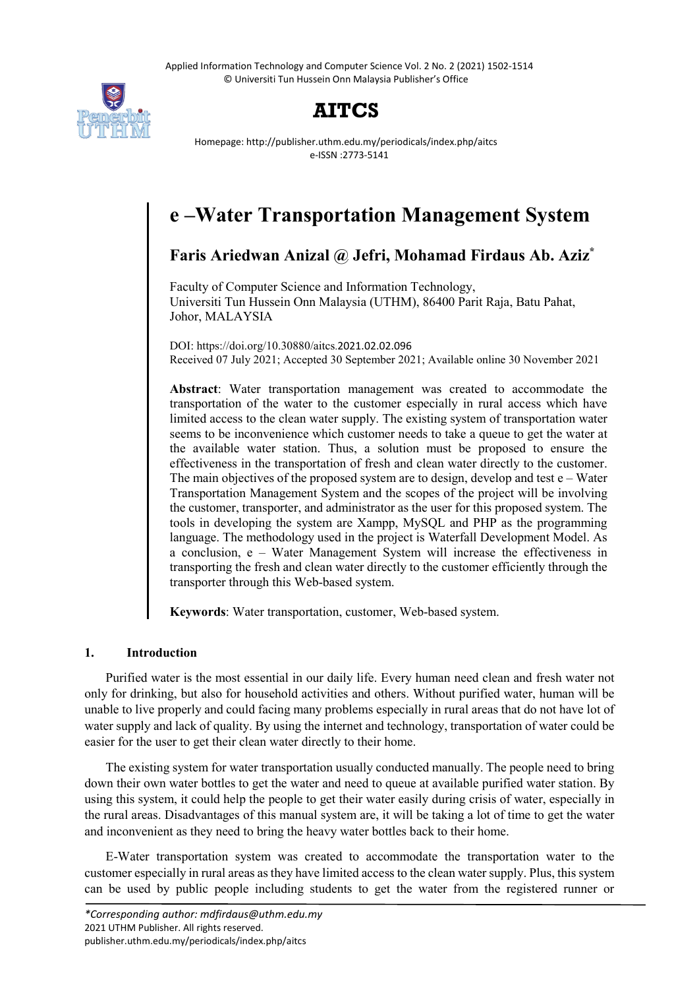Applied Information Technology and Computer Science Vol. 2 No. 2 (2021) 1502-1514 © Universiti Tun Hussein Onn Malaysia Publisher's Office



# **AITCS**

Homepage: http://publisher.uthm.edu.my/periodicals/index.php/aitcs e-ISSN :2773-5141

# **e –Water Transportation Management System**

**Faris Ariedwan Anizal @ Jefri, Mohamad Firdaus Ab. Aziz\***

Faculty of Computer Science and Information Technology, Universiti Tun Hussein Onn Malaysia (UTHM), 86400 Parit Raja, Batu Pahat, Johor, MALAYSIA

DOI: https://doi.org/10.30880/aitcs.2021.02.02.096 Received 07 July 2021; Accepted 30 September 2021; Available online 30 November 2021

**Abstract**: Water transportation management was created to accommodate the transportation of the water to the customer especially in rural access which have limited access to the clean water supply. The existing system of transportation water seems to be inconvenience which customer needs to take a queue to get the water at the available water station. Thus, a solution must be proposed to ensure the effectiveness in the transportation of fresh and clean water directly to the customer. The main objectives of the proposed system are to design, develop and test  $e$  – Water Transportation Management System and the scopes of the project will be involving the customer, transporter, and administrator as the user for this proposed system. The tools in developing the system are Xampp, MySQL and PHP as the programming language. The methodology used in the project is Waterfall Development Model. As a conclusion, e – Water Management System will increase the effectiveness in transporting the fresh and clean water directly to the customer efficiently through the transporter through this Web-based system.

**Keywords**: Water transportation, customer, Web-based system.

## **1. Introduction**

Purified water is the most essential in our daily life. Every human need clean and fresh water not only for drinking, but also for household activities and others. Without purified water, human will be unable to live properly and could facing many problems especially in rural areas that do not have lot of water supply and lack of quality. By using the internet and technology, transportation of water could be easier for the user to get their clean water directly to their home.

The existing system for water transportation usually conducted manually. The people need to bring down their own water bottles to get the water and need to queue at available purified water station. By using this system, it could help the people to get their water easily during crisis of water, especially in the rural areas. Disadvantages of this manual system are, it will be taking a lot of time to get the water and inconvenient as they need to bring the heavy water bottles back to their home.

E-Water transportation system was created to accommodate the transportation water to the customer especially in rural areas as they have limited access to the clean water supply. Plus, this system can be used by public people including students to get the water from the registered runner or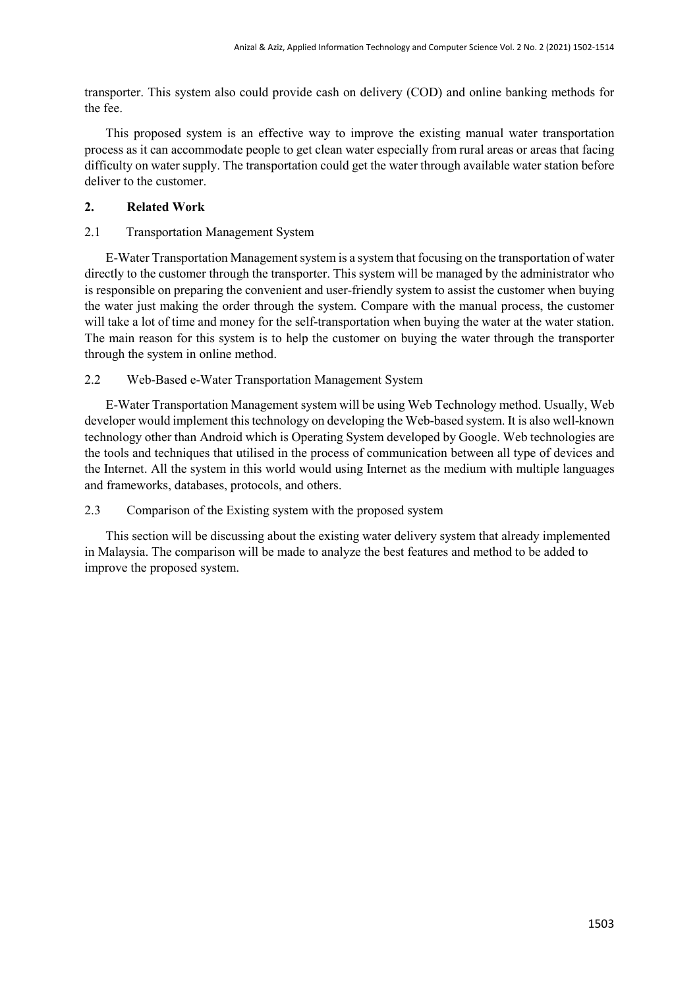transporter. This system also could provide cash on delivery (COD) and online banking methods for the fee.

This proposed system is an effective way to improve the existing manual water transportation process as it can accommodate people to get clean water especially from rural areas or areas that facing difficulty on water supply. The transportation could get the water through available water station before deliver to the customer.

# **2. Related Work**

# 2.1 Transportation Management System

E-Water Transportation Management system is a system that focusing on the transportation of water directly to the customer through the transporter. This system will be managed by the administrator who is responsible on preparing the convenient and user-friendly system to assist the customer when buying the water just making the order through the system. Compare with the manual process, the customer will take a lot of time and money for the self-transportation when buying the water at the water station. The main reason for this system is to help the customer on buying the water through the transporter through the system in online method.

# 2.2 Web-Based e-Water Transportation Management System

E-Water Transportation Management system will be using Web Technology method. Usually, Web developer would implement this technology on developing the Web-based system. It is also well-known technology other than Android which is Operating System developed by Google. Web technologies are the tools and techniques that utilised in the process of communication between all type of devices and the Internet. All the system in this world would using Internet as the medium with multiple languages and frameworks, databases, protocols, and others.

## 2.3 Comparison of the Existing system with the proposed system

This section will be discussing about the existing water delivery system that already implemented in Malaysia. The comparison will be made to analyze the best features and method to be added to improve the proposed system.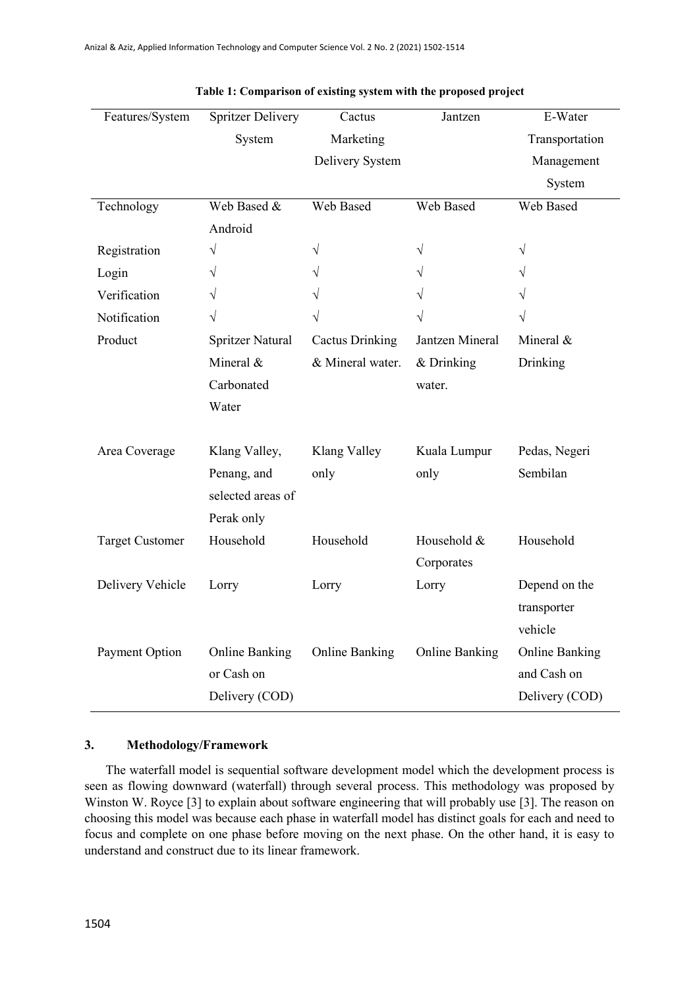| Features/System        | <b>Spritzer Delivery</b> | Cactus                 | Jantzen               | E-Water               |
|------------------------|--------------------------|------------------------|-----------------------|-----------------------|
|                        | System                   | Marketing              |                       | Transportation        |
|                        |                          | Delivery System        |                       | Management            |
|                        |                          |                        |                       | System                |
| Technology             | Web Based &              | Web Based              | Web Based             | Web Based             |
|                        | Android                  |                        |                       |                       |
| Registration           | $\sqrt{}$                | $\sqrt{}$              | $\sqrt{}$             | $\sqrt{}$             |
| Login                  | $\sqrt{}$                | V                      | V                     | V                     |
| Verification           | V                        |                        |                       |                       |
| Notification           | $\sqrt{}$                | V                      | V                     |                       |
| Product                | <b>Spritzer Natural</b>  | <b>Cactus Drinking</b> | Jantzen Mineral       | Mineral &             |
|                        | Mineral &                | & Mineral water.       | & Drinking            | Drinking              |
|                        | Carbonated               |                        | water.                |                       |
|                        | Water                    |                        |                       |                       |
|                        |                          |                        |                       |                       |
| Area Coverage          | Klang Valley,            | Klang Valley           | Kuala Lumpur          | Pedas, Negeri         |
|                        | Penang, and              | only                   | only                  | Sembilan              |
|                        | selected areas of        |                        |                       |                       |
|                        | Perak only               |                        |                       |                       |
| <b>Target Customer</b> | Household                | Household              | Household &           | Household             |
|                        |                          |                        | Corporates            |                       |
| Delivery Vehicle       | Lorry                    | Lorry                  | Lorry                 | Depend on the         |
|                        |                          |                        |                       | transporter           |
|                        |                          |                        |                       | vehicle               |
| Payment Option         | <b>Online Banking</b>    | <b>Online Banking</b>  | <b>Online Banking</b> | <b>Online Banking</b> |
|                        | or Cash on               |                        |                       | and Cash on           |
|                        | Delivery (COD)           |                        |                       | Delivery (COD)        |

| Table 1: Comparison of existing system with the proposed project |  |  |
|------------------------------------------------------------------|--|--|
|                                                                  |  |  |

## **3. Methodology/Framework**

The waterfall model is sequential software development model which the development process is seen as flowing downward (waterfall) through several process. This methodology was proposed by Winston W. Royce [3] to explain about software engineering that will probably use [3]. The reason on choosing this model was because each phase in waterfall model has distinct goals for each and need to focus and complete on one phase before moving on the next phase. On the other hand, it is easy to understand and construct due to its linear framework.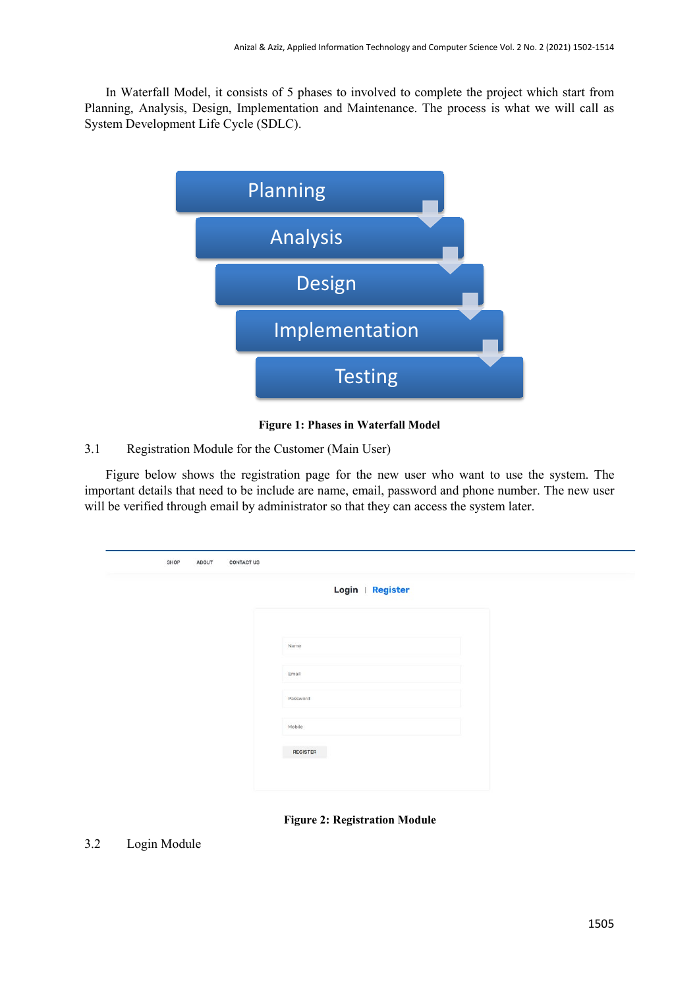In Waterfall Model, it consists of 5 phases to involved to complete the project which start from Planning, Analysis, Design, Implementation and Maintenance. The process is what we will call as System Development Life Cycle (SDLC).



#### **Figure 1: Phases in Waterfall Model**

## 3.1 Registration Module for the Customer (Main User)

Figure below shows the registration page for the new user who want to use the system. The important details that need to be include are name, email, password and phone number. The new user will be verified through email by administrator so that they can access the system later.

| Login   Register |  |
|------------------|--|
| Name             |  |
| Email            |  |
| Password         |  |
| Mobile           |  |

**Figure 2: Registration Module**

# 3.2 Login Module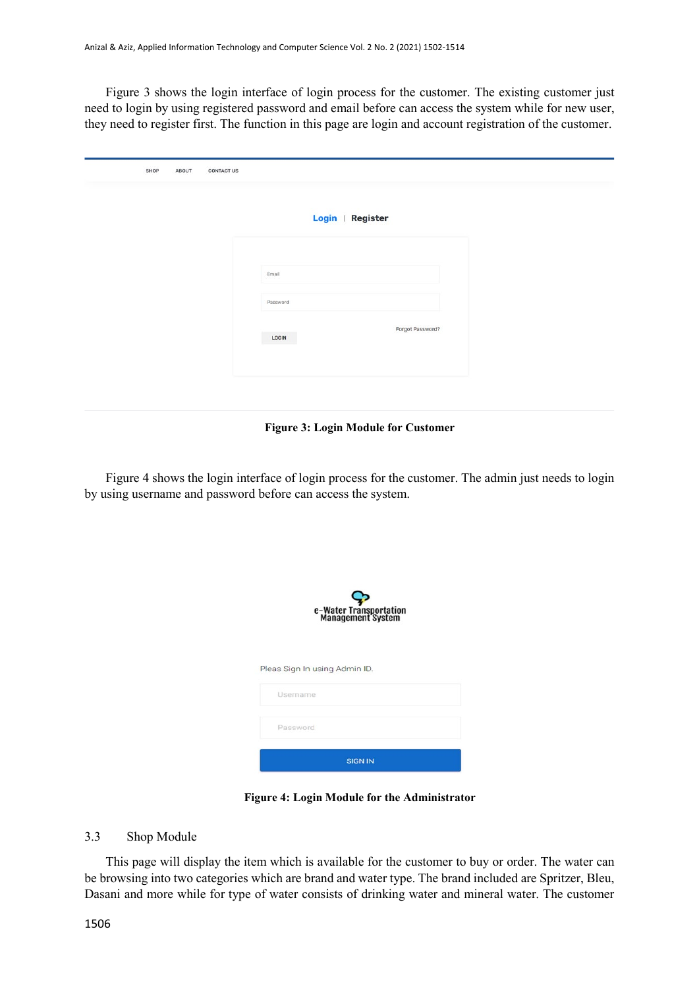Figure 3 shows the login interface of login process for the customer. The existing customer just need to login by using registered password and email before can access the system while for new user, they need to register first. The function in this page are login and account registration of the customer.

| SHOP | ABOUT | <b>CONTACT US</b> |          |                  |
|------|-------|-------------------|----------|------------------|
|      |       |                   |          | Login   Register |
|      |       |                   | Email    |                  |
|      |       |                   | Password |                  |
|      |       |                   | LOGIN    | Forgot Password? |
|      |       |                   |          |                  |

**Figure 3: Login Module for Customer**

Figure 4 shows the login interface of login process for the customer. The admin just needs to login by using username and password before can access the system.

| e-Water Transportation<br>Management System |  |  |  |  |  |  |  |  |
|---------------------------------------------|--|--|--|--|--|--|--|--|
| Pleas Sign In using Admin ID.               |  |  |  |  |  |  |  |  |
| Username                                    |  |  |  |  |  |  |  |  |
| Password                                    |  |  |  |  |  |  |  |  |
| <b>SIGN IN</b>                              |  |  |  |  |  |  |  |  |

**Figure 4: Login Module for the Administrator**

#### 3.3 Shop Module

This page will display the item which is available for the customer to buy or order. The water can be browsing into two categories which are brand and water type. The brand included are Spritzer, Bleu, Dasani and more while for type of water consists of drinking water and mineral water. The customer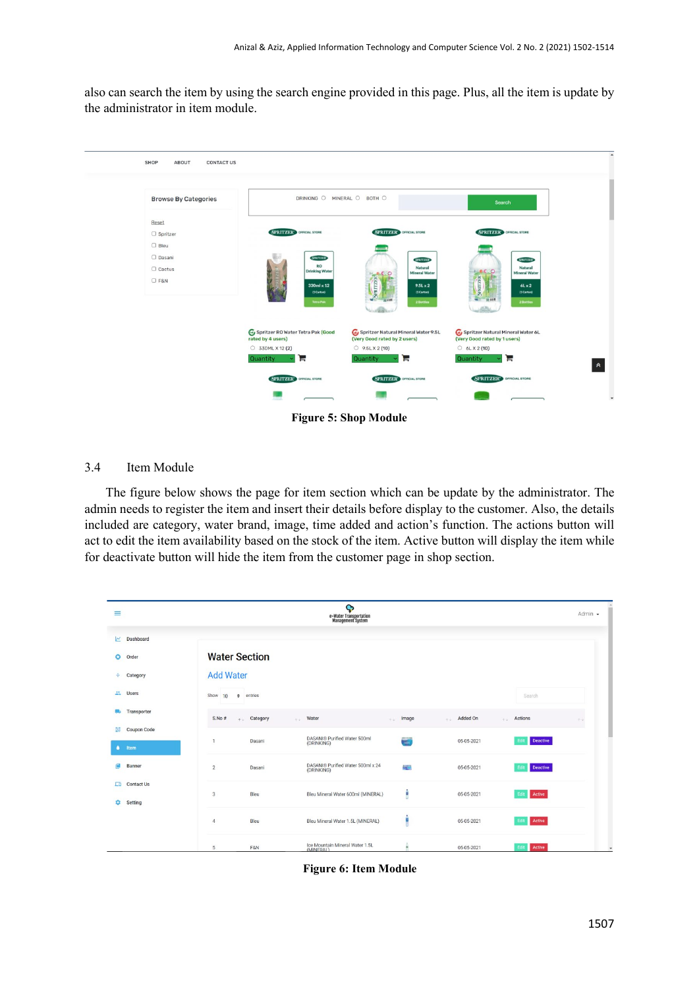also can search the item by using the search engine provided in this page. Plus, all the item is update by the administrator in item module.



**Figure 5: Shop Module**

## 3.4 Item Module

The figure below shows the page for item section which can be update by the administrator. The admin needs to register the item and insert their details before display to the customer. Also, the details included are category, water brand, image, time added and action's function. The actions button will act to edit the item availability based on the stock of the item. Active button will display the item while for deactivate button will hide the item from the customer page in shop section.

| $\equiv$                 |                   |                      |            | ¢<br>e-Water Transportation<br>Management System |             |                  |                     | Admin $\sim$ |
|--------------------------|-------------------|----------------------|------------|--------------------------------------------------|-------------|------------------|---------------------|--------------|
| $\overline{\phantom{a}}$ | Dashboard         |                      |            |                                                  |             |                  |                     |              |
| $\bullet$                | Order             | <b>Water Section</b> |            |                                                  |             |                  |                     |              |
| ÷                        | Category          | <b>Add Water</b>     |            |                                                  |             |                  |                     |              |
| 品                        | Users             | Show<br>10<br>$\div$ | entries    |                                                  |             |                  | Search              |              |
|                          | Transporter       | S.No#                | + Category | . Water                                          | Image<br>不定 | Added On<br>A.G. | Actions<br>$-4.4 -$ | 水平           |
| $\frac{0.0}{2.3}$        | Coupon Code       |                      |            |                                                  |             |                  |                     |              |
| $\bullet$                | Item              | $\mathbf{1}$         | Dasani     | DASANI® Purified Water 500ml<br>(DRINKING)       |             | 05-05-2021       | Deactive<br>Edit    |              |
|                          | Banner            | $\overline{2}$       | Dasani     | DASANI® Purified Water 500ml x 24<br>(DRINKING)  | 璺           | 05-05-2021       | Deactive<br>Edit    |              |
| Гō.                      | <b>Contact Us</b> |                      |            |                                                  |             |                  |                     |              |
| ά                        | Setting           | $\mathbf{3}$         | Bleu       | Bleu Mineral Water 600ml (MINERAL)               | ê           | 05-05-2021       | Edit Active         |              |
|                          |                   | $\overline{4}$       | Bleu       | Bleu Mineral Water 1.5L (MINERAL)                | ۱           | 05-05-2021       | Edit Active         |              |
|                          |                   | 5                    | F&N        | Ice Mountain Mineral Water 1.5L<br>(MINERAL)     |             | 05-05-2021       | Edit<br>Active      |              |

**Figure 6: Item Module**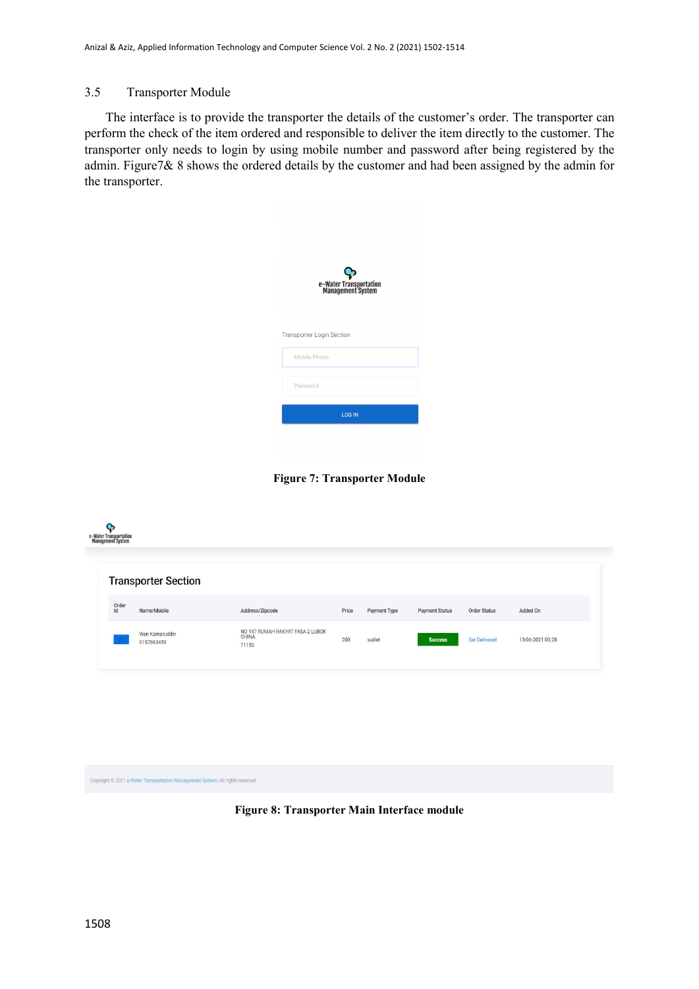## 3.5 Transporter Module

The interface is to provide the transporter the details of the customer's order. The transporter can perform the check of the item ordered and responsible to deliver the item directly to the customer. The transporter only needs to login by using mobile number and password after being registered by the admin. Figure7& 8 shows the ordered details by the customer and had been assigned by the admin for the transporter.

| e-Water Transportation<br>Management System |  |  |  |  |  |  |  |
|---------------------------------------------|--|--|--|--|--|--|--|
| <b>Transporter Login Section</b>            |  |  |  |  |  |  |  |
| Mobile Phone                                |  |  |  |  |  |  |  |
| Password                                    |  |  |  |  |  |  |  |
| <b>LOG IN</b>                               |  |  |  |  |  |  |  |

**Figure 7: Transporter Module**



Copyright © 2021 e-Water T .<br>All rights re

**Figure 8: Transporter Main Interface module**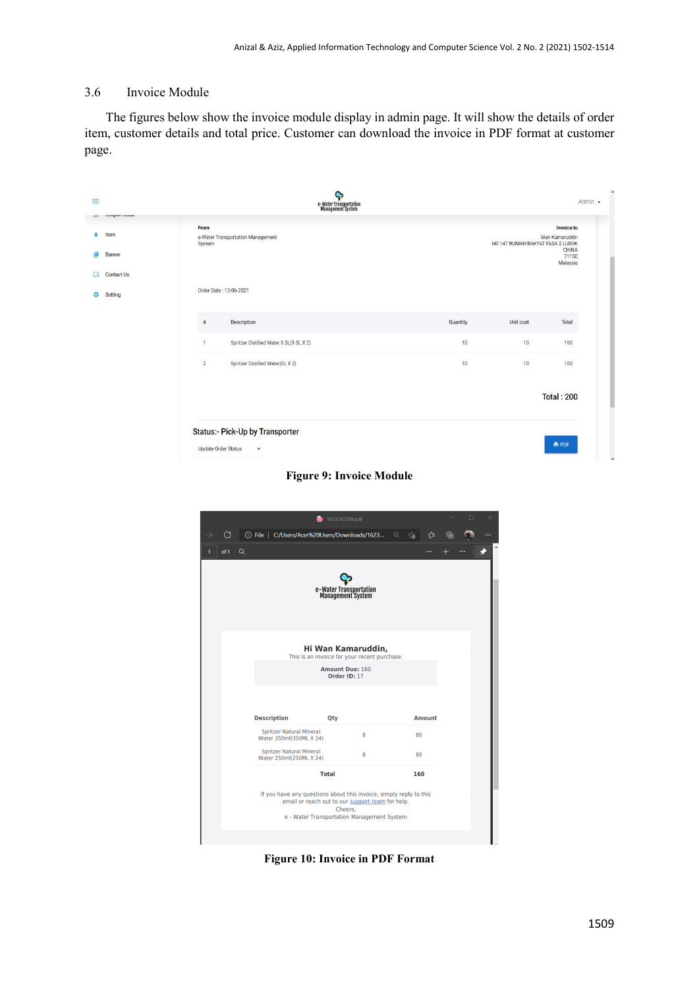# 3.6 Invoice Module

The figures below show the invoice module display in admin page. It will show the details of order item, customer details and total price. Customer can download the invoice in PDF format at customer page.

| ≡                                                                    | Ģ<br>e-Water Transportation<br>Management System          |          |                                  | Admin -                                                    |
|----------------------------------------------------------------------|-----------------------------------------------------------|----------|----------------------------------|------------------------------------------------------------|
| <b>Unapolity Control</b><br><b>D20</b><br>Item<br><b>Banner</b><br>匝 | From<br>e-Water Transportation Management<br>System       |          | NO 147 RUMAH RAKYAT FASA 2 LUBOK | Invoice to<br>Wan Kamaruddin<br>CHINA<br>71150<br>Malaysia |
| <b>Contact Us</b><br>Setting                                         | Order Date: 13-06-2021                                    |          |                                  |                                                            |
|                                                                      | Description<br>#                                          | Quantity | Unit cost                        | Total                                                      |
|                                                                      | Spritzer Distilled Water 9.5L(9.5L X 2)<br>$\overline{1}$ | 10       | 10 <sup>°</sup>                  | 100                                                        |
|                                                                      | $\overline{2}$<br>Spritzer Distilled Water(6L X 2)        | 10       | 10                               | 100                                                        |
|                                                                      |                                                           |          |                                  | <b>Total: 200</b>                                          |
|                                                                      | Status:- Pick-Up by Transporter                           |          |                                  |                                                            |
|                                                                      | <b>Update Order Status</b><br>$\check{~}$                 |          |                                  | <b>B</b> PDF                                               |

**Figure 9: Invoice Module**

|              |      |   |                    |                                                            |  | 1623245599.pdf                              |              |                                                                                                                                                                      |    |               |   | □ |  |
|--------------|------|---|--------------------|------------------------------------------------------------|--|---------------------------------------------|--------------|----------------------------------------------------------------------------------------------------------------------------------------------------------------------|----|---------------|---|---|--|
|              | G    |   |                    |                                                            |  |                                             |              | ① File   C:/Users/Acer%20Users/Downloads/1623 Q {a                                                                                                                   |    | ో             | ₲ |   |  |
| $\mathbf{1}$ | of 1 | Q |                    |                                                            |  |                                             |              |                                                                                                                                                                      |    |               |   |   |  |
|              |      |   |                    |                                                            |  | e-Water Transportation<br>Management System |              |                                                                                                                                                                      |    |               |   |   |  |
|              |      |   |                    |                                                            |  | <b>Amount Due: 160</b>                      | Order ID: 17 | Hi Wan Kamaruddin,<br>This is an invoice for your recent purchase.                                                                                                   |    |               |   |   |  |
|              |      |   | <b>Description</b> |                                                            |  | Qty                                         |              |                                                                                                                                                                      |    | <b>Amount</b> |   |   |  |
|              |      |   |                    | <b>Spritzer Natural Mineral</b><br>Water 350ml(350ML X 24) |  |                                             | 8            |                                                                                                                                                                      | 80 |               |   |   |  |
|              |      |   |                    | <b>Spritzer Natural Mineral</b><br>Water 250ml(250ML X 24) |  |                                             | 8            |                                                                                                                                                                      | 80 |               |   |   |  |
|              |      |   |                    |                                                            |  | <b>Total</b>                                |              |                                                                                                                                                                      |    | 160           |   |   |  |
|              |      |   |                    |                                                            |  |                                             | Cheers.      | If you have any questions about this invoice, simply reply to this<br>email or reach out to our support team for help.<br>e - Water Transportation Management System |    |               |   |   |  |

**Figure 10: Invoice in PDF Format**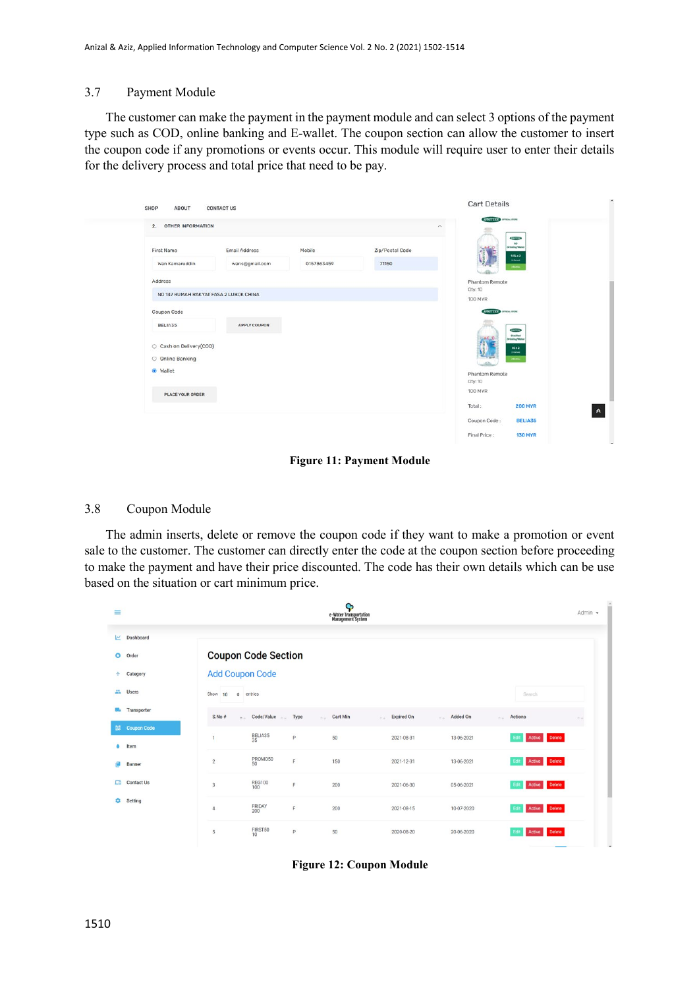## 3.7 Payment Module

The customer can make the payment in the payment module and can select 3 options of the payment type such as COD, online banking and E-wallet. The coupon section can allow the customer to insert the coupon code if any promotions or events occur. This module will require user to enter their details for the delivery process and total price that need to be pay.

|                                                                                   | 2. OTHER INFORMATION<br>$\curvearrowright$ |                      |                          |                                                                                                                                              |  |  |  |  |  |
|-----------------------------------------------------------------------------------|--------------------------------------------|----------------------|--------------------------|----------------------------------------------------------------------------------------------------------------------------------------------|--|--|--|--|--|
| First Name<br>Wan Kamaruddin<br>Address<br>NO 147 RUMAH RAKYAT FASA 2 LUBOK CHINA | Email Address<br>wans@gmail.com            | Mobile<br>0157863459 | Zip/Postal Code<br>71150 | <b>SYNTHE</b><br>$\mathbf{a}$<br><b>Drinking Water</b><br>9.5Lx2<br><b><i><u>OSMAN</u></i></b><br><b>Jihama</b><br>Phantom Remote<br>Oty: 10 |  |  |  |  |  |
| Coupon Code<br>BELIA35                                                            | APPLY COUPON                               |                      |                          | <b>100 MYR</b><br>SPRITZER STONE FOR<br><b>SPACIFIER</b>                                                                                     |  |  |  |  |  |
| C Cash on Delivery(COD)<br>O Online Banking                                       |                                            |                      |                          | Distilled<br><b>Drinking Water</b><br>62x2<br><b>SCalled</b><br><b>Theme</b>                                                                 |  |  |  |  |  |
| · Wallet<br>PLACE YOUR ORDER                                                      |                                            |                      |                          | Phantom Remote<br>Qty: 10<br>100 MYR                                                                                                         |  |  |  |  |  |
|                                                                                   |                                            |                      |                          | Total:<br><b>200 MYR</b><br>Coupon Code:<br><b>BELIA35</b>                                                                                   |  |  |  |  |  |

**Figure 11: Payment Module**

## 3.8 Coupon Module

The admin inserts, delete or remove the coupon code if they want to make a promotion or event sale to the customer. The customer can directly enter the code at the coupon section before proceeding to make the payment and have their price discounted. The code has their own details which can be use based on the situation or cart minimum price.

| $\equiv$                 |                   |                            |               |            | Ģ<br>e-Water Transportation<br>Management System |                                    |                 |                                       | Admin $\sim$ |
|--------------------------|-------------------|----------------------------|---------------|------------|--------------------------------------------------|------------------------------------|-----------------|---------------------------------------|--------------|
| $\overline{\phantom{a}}$ | Dashboard         |                            |               |            |                                                  |                                    |                 |                                       |              |
| o                        | Order             | <b>Coupon Code Section</b> |               |            |                                                  |                                    |                 |                                       |              |
| ÷                        | Category          | <b>Add Coupon Code</b>     |               |            |                                                  |                                    |                 |                                       |              |
| z.                       | <b>Users</b>      | Show<br>$\div$<br>10       | entries       |            |                                                  |                                    |                 | Search                                |              |
|                          | Transporter       | S.No #                     | * Code/Value  | Type<br>W. | Cart Min<br>0.41                                 | <b>Expired On</b><br>$\sim$ $\sim$ | Added On<br>4.4 | Actions                               | b.L          |
| 鼹                        | Coupon Code       | $\mathbf{1}$               | BELIA35<br>35 | P          | 50                                               | 2021-08-31                         | 13-06-2021      | Active Delete<br>Edit                 |              |
|                          | Item              |                            |               |            |                                                  |                                    |                 |                                       |              |
|                          | Banner            | $\overline{2}$             | PROMO50<br>50 | F          | 150                                              | 2021-12-31                         | 13-06-2021      | Active Delete<br>Edit                 |              |
| ᇛ                        | <b>Contact Us</b> | $_{3}$                     | REG100<br>100 | F          | 200                                              | 2021-06-30                         | 05-06-2021      | Active Delete<br>Edit                 |              |
| o                        | Setting           | $\overline{4}$             | FRIDAY<br>200 | F          | 200                                              | 2021-08-15                         | 10-07-2020      | Active Delete<br>Edit                 |              |
|                          |                   | $\sqrt{5}$                 | FIRST50<br>10 | P          | 50                                               | 2020-08-20                         | 20-06-2020      | <b>Delete</b><br>Edi<br><b>Active</b> |              |

**Figure 12: Coupon Module**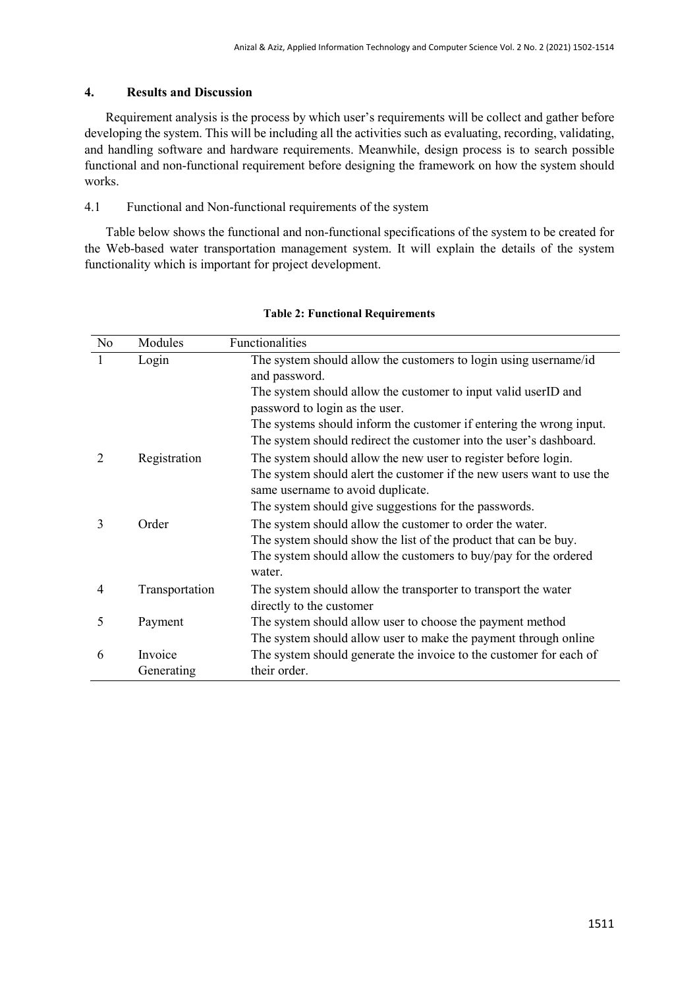## **4. Results and Discussion**

Requirement analysis is the process by which user's requirements will be collect and gather before developing the system. This will be including all the activities such as evaluating, recording, validating, and handling software and hardware requirements. Meanwhile, design process is to search possible functional and non-functional requirement before designing the framework on how the system should works.

## 4.1 Functional and Non-functional requirements of the system

Table below shows the functional and non-functional specifications of the system to be created for the Web-based water transportation management system. It will explain the details of the system functionality which is important for project development.

| No | Modules               | Functionalities                                                                                                                                                                                                                       |
|----|-----------------------|---------------------------------------------------------------------------------------------------------------------------------------------------------------------------------------------------------------------------------------|
|    | Login                 | The system should allow the customers to login using username/id<br>and password.                                                                                                                                                     |
|    |                       | The system should allow the customer to input valid userID and<br>password to login as the user.                                                                                                                                      |
|    |                       | The systems should inform the customer if entering the wrong input.<br>The system should redirect the customer into the user's dashboard.                                                                                             |
| 2  | Registration          | The system should allow the new user to register before login.<br>The system should alert the customer if the new users want to use the<br>same username to avoid duplicate.<br>The system should give suggestions for the passwords. |
| 3  | Order                 | The system should allow the customer to order the water.<br>The system should show the list of the product that can be buy.<br>The system should allow the customers to buy/pay for the ordered<br>water.                             |
| 4  | Transportation        | The system should allow the transporter to transport the water<br>directly to the customer                                                                                                                                            |
| 5  | Payment               | The system should allow user to choose the payment method<br>The system should allow user to make the payment through online                                                                                                          |
| 6  | Invoice<br>Generating | The system should generate the invoice to the customer for each of<br>their order.                                                                                                                                                    |

#### **Table 2: Functional Requirements**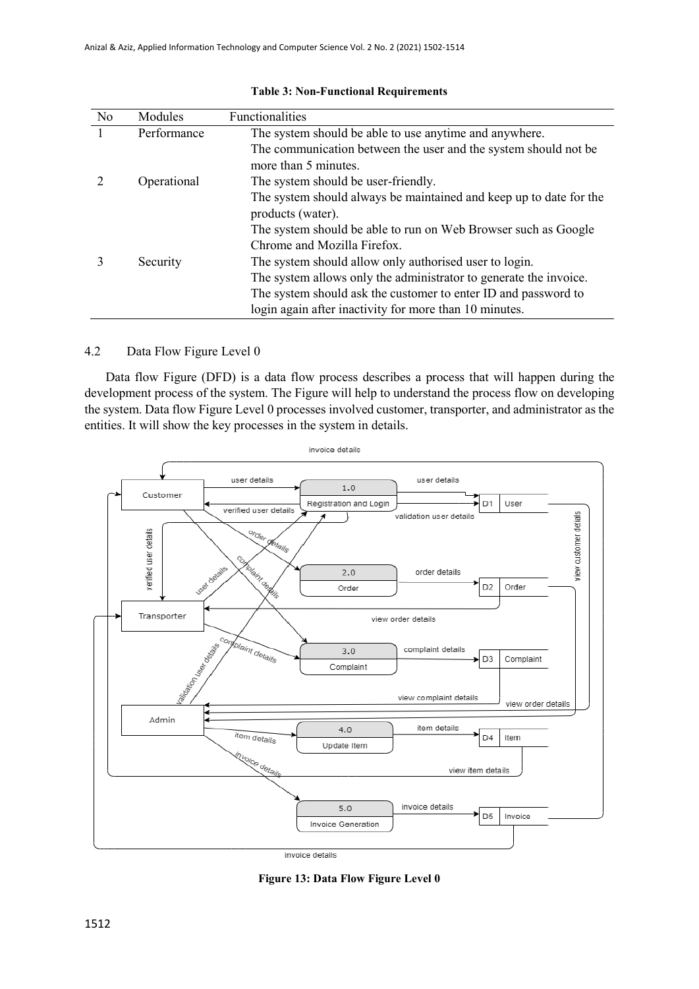| No | Modules     | Functionalities                                                                         |
|----|-------------|-----------------------------------------------------------------------------------------|
|    | Performance | The system should be able to use anytime and anywhere.                                  |
|    |             | The communication between the user and the system should not be                         |
|    |             | more than 5 minutes.                                                                    |
|    | Operational | The system should be user-friendly.                                                     |
|    |             | The system should always be maintained and keep up to date for the<br>products (water). |
|    |             | The system should be able to run on Web Browser such as Google                          |
|    |             | Chrome and Mozilla Firefox.                                                             |
|    | Security    | The system should allow only authorised user to login.                                  |
|    |             | The system allows only the administrator to generate the invoice.                       |
|    |             | The system should ask the customer to enter ID and password to                          |
|    |             | login again after inactivity for more than 10 minutes.                                  |

#### **Table 3: Non-Functional Requirements**

## 4.2 Data Flow Figure Level 0

Data flow Figure (DFD) is a data flow process describes a process that will happen during the development process of the system. The Figure will help to understand the process flow on developing the system. Data flow Figure Level 0 processes involved customer, transporter, and administrator as the entities. It will show the key processes in the system in details.



**Figure 13: Data Flow Figure Level 0**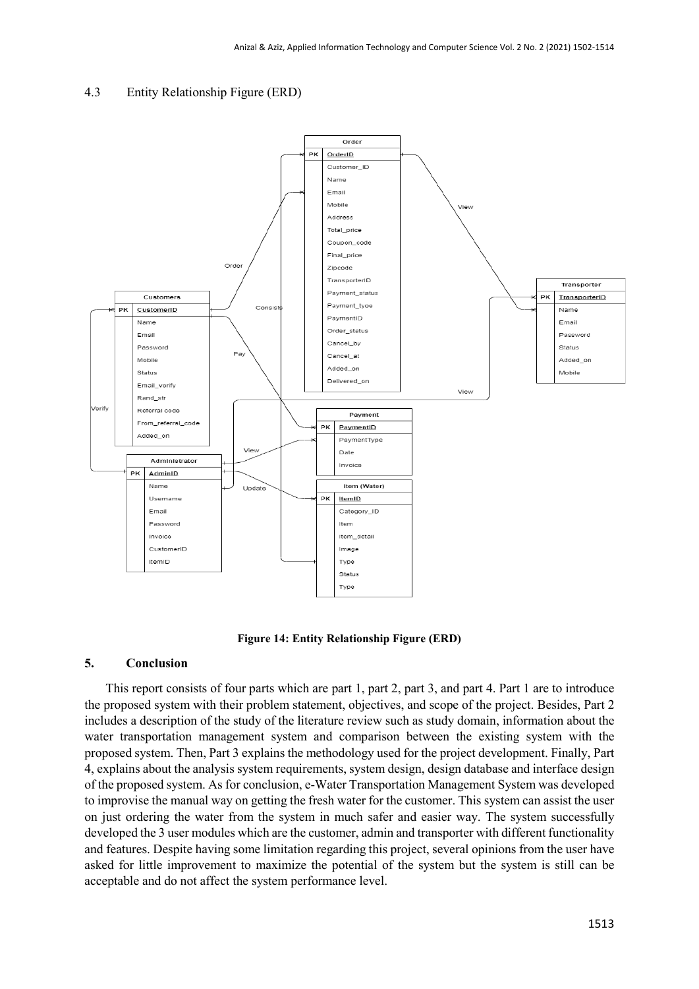#### 4.3 Entity Relationship Figure (ERD)



**Figure 14: Entity Relationship Figure (ERD)**

## **5. Conclusion**

This report consists of four parts which are part 1, part 2, part 3, and part 4. Part 1 are to introduce the proposed system with their problem statement, objectives, and scope of the project. Besides, Part 2 includes a description of the study of the literature review such as study domain, information about the water transportation management system and comparison between the existing system with the proposed system. Then, Part 3 explains the methodology used for the project development. Finally, Part 4, explains about the analysis system requirements, system design, design database and interface design of the proposed system. As for conclusion, e-Water Transportation Management System was developed to improvise the manual way on getting the fresh water for the customer. This system can assist the user on just ordering the water from the system in much safer and easier way. The system successfully developed the 3 user modules which are the customer, admin and transporter with different functionality and features. Despite having some limitation regarding this project, several opinions from the user have asked for little improvement to maximize the potential of the system but the system is still can be acceptable and do not affect the system performance level.